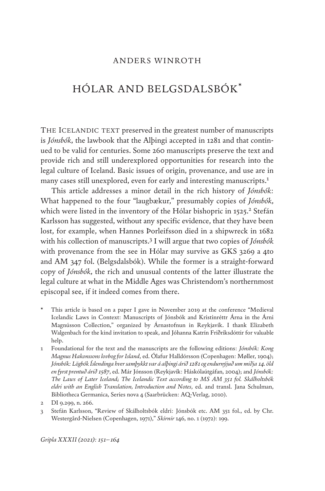#### ANDERS WINROTH

# HÓLAR AND BELGSDALSBÓK\*

THE ICELANDIC TEXT preserved in the greatest number of manuscripts is *Jónsbók*, the lawbook that the Alþingi accepted in 1281 and that continued to be valid for centuries. Some 260 manuscripts preserve the text and provide rich and still underexplored opportunities for research into the legal culture of Iceland. Basic issues of origin, provenance, and use are in many cases still unexplored, even for early and interesting manuscripts.1

This article addresses a minor detail in the rich history of *Jónsbók*: What happened to the four "laugbækur," presumably copies of *Jónsbók*, which were listed in the inventory of the Hólar bishopric in 1525.<sup>2</sup> Stefán Karlsson has suggested, without any specific evidence, that they have been lost, for example, when Hannes Þorleifsson died in a shipwreck in 1682 with his collection of manuscripts.3 I will argue that two copies of *Jónsbók* with provenance from the see in Hólar may survive as GKS 3269 a 4to and AM 347 fol. (Belgsdalsbók). While the former is a straight-forward copy of *Jónsbók*, the rich and unusual contents of the latter illustrate the legal culture at what in the Middle Ages was Christendom's northernmost episcopal see, if it indeed comes from there.

- This article is based on a paper I gave in November 2019 at the conference "Medieval Icelandic Laws in Context: Manuscripts of Jónsbók and Kristinréttr Árna in the Árni Magnússon Collection," organized by Árnastofnun in Reykjavík. I thank Elizabeth Walgenbach for the kind invitation to speak, and Jóhanna Katrín Friðriksdóttir for valuable help.
- 1 Foundational for the text and the manuscripts are the following editions: *Jónsbók: Kong Magnus Hakonssons lovbog for Island*, ed. Ólafur Halldórsson (Copenhagen: Møller, 1904); *Jónsbók: Lögbók Íslendinga hver samþykkt var á alþingi árið 1281 og endurnýjuð um miðja 14. öld en fyrst prentuð árið 1587*, ed. Már Jónsson (Reykjavík: Háskólaútgáfan, 2004); and *Jónsbók: The Laws of Later Iceland; The Icelandic Text according to MS AM 351 fol. Skálholtsbók eldri with an English Translation, Introduction and Notes*, ed. and transl. Jana Schulman, Bibliotheca Germanica, Series nova 4 (Saarbrücken: AQ-Verlag, 2010).

3 Stefán Karlsson, "Review of Skálholtsbók eldri: Jónsbók etc. AM 351 fol., ed. by Chr. Westergård-Nielsen (Copenhagen, 1971)," *Skírnir* 146, no. 1 (1972): 199.

*Gripla XXXII (2021): 151–164*

<sup>2</sup> DI 9.299, n. 266.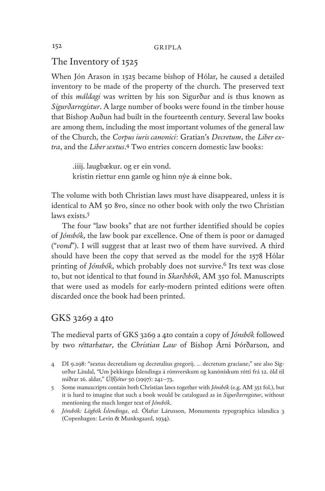#### The Inventory of 1525

When Jón Arason in 1525 became bishop of Hólar, he caused a detailed inventory to be made of the property of the church. The preserved text of this *máldagi* was written by his son Sigurður and is thus known as *Sigurðarregistur*. A large number of books were found in the timber house that Bishop Auðun had built in the fourteenth century. Several law books are among them, including the most important volumes of the general law of the Church, the *Corpus iuris canonici*: Gratian's *Decretum*, the *Liber extra*, and the *Liber sextus*. 4 Two entries concern domestic law books:

.iiij. laugbækur. og er ein vond. kristin riettur enn gamle og hinn nýe á einne bok.

The volume with both Christian laws must have disappeared, unless it is identical to AM 50 8vo, since no other book with only the two Christian laws exists.<sup>5</sup>

The four "law books" that are not further identified should be copies of *Jónsbók*, the law book par excellence. One of them is poor or damaged ("*vond*"). I will suggest that at least two of them have survived. A third should have been the copy that served as the model for the 1578 Hólar printing of *Jónsbók*, which probably does not survive.6 Its text was close to, but not identical to that found in *Skarðsbók*, AM 350 fol. Manuscripts that were used as models for early-modern printed editions were often discarded once the book had been printed.

## GKS 3269 a 4to

The medieval parts of GKS 3269 a 4to contain a copy of *Jónsbók* followed by two *réttarbætur*, the *Christian Law* of Bishop Árni Þórðarson, and

- 4 DI 9.298: "sextus decretalium og decretalius gregorij. … decretum graciane;" see also Sigurður Líndal, "Um þekkingu Íslendinga á rómverskum og kanónískum rétti frá 12. öld til miðrar 16. aldar," *Úlfljótur* 50 (1997): 241–73.
- 5 Some manuscripts contain both Christian laws together with *Jónsbók* (e.g. AM 351 fol.), but it is hard to imagine that such a book would be catalogued as in *Sigurðarregistur*, without mentioning the much longer text of *Jónsbók*.
- 6 *Jónsbók: Lögbók Íslendinga*, ed. Ólafur Lárusson, Monumenta typographica islandica 3 (Copenhagen: Levin & Munksgaard, 1934).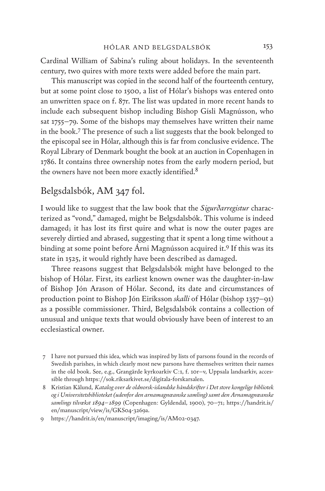Cardinal William of Sabina's ruling about holidays. In the seventeenth century, two quires with more texts were added before the main part.

This manuscript was copied in the second half of the fourteenth century, but at some point close to 1500, a list of Hólar's bishops was entered onto an unwritten space on f. 87r. The list was updated in more recent hands to include each subsequent bishop including Bishop Gísli Magnússon, who sat 1755–79. Some of the bishops may themselves have written their name in the book.<sup>7</sup> The presence of such a list suggests that the book belonged to the episcopal see in Hólar, although this is far from conclusive evidence. The Royal Library of Denmark bought the book at an auction in Copenhagen in 1786. It contains three ownership notes from the early modern period, but the owners have not been more exactly identified.<sup>8</sup>

#### Belgsdalsbók, AM 347 fol.

I would like to suggest that the law book that the *Sigurðarregistur* characterized as "vond," damaged, might be Belgsdalsbók. This volume is indeed damaged; it has lost its first quire and what is now the outer pages are severely dirtied and abrased, suggesting that it spent a long time without a binding at some point before Árni Magnússon acquired it.9 If this was its state in 1525, it would rightly have been described as damaged.

Three reasons suggest that Belgsdalsbók might have belonged to the bishop of Hólar. First, its earliest known owner was the daughter-in-law of Bishop Jón Arason of Hólar. Second, its date and circumstances of production point to Bishop Jón Eiríksson *skalli* of Hólar (bishop 1357–91) as a possible commissioner. Third, Belgsdalsbók contains a collection of unusual and unique texts that would obviously have been of interest to an ecclesiastical owner.

<sup>7</sup> I have not pursued this idea, which was inspired by lists of parsons found in the records of Swedish parishes, in which clearly most new parsons have themselves written their names in the old book. See, e.g., Grangärde kyrkoarkiv C:1, f. 10r–v, Uppsala landsarkiv, accessible through https://sok.riksarkivet.se/digitala-forskarsalen.

<sup>8</sup> Kristian Kålund, *Katalog over de oldnorsk-islandske håndskrifter i Det store kongelige bibliotek og i Universitetsbiblioteket (udenfor den arnamagnœanske samling) samt den Arnamagnœanske samlings tilvœkst 1894–1899* (Copenhagen: Gyldendal, 1900), 70–71; https://handrit.is/ en/manuscript/view/is/GKS04-3269a.

<sup>9</sup> https://handrit.is/en/manuscript/imaging/is/AM02-0347.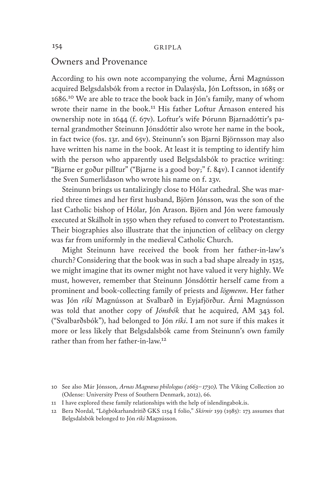#### Owners and Provenance

According to his own note accompanying the volume, Árni Magnússon acquired Belgsdalsbók from a rector in Dalasýsla, Jón Loftsson, in 1685 or 1686.10 We are able to trace the book back in Jón's family, many of whom wrote their name in the book.<sup>11</sup> His father Loftur Árnason entered his ownership note in 1644 (f. 67v). Loftur's wife Þórunn Bjarnadóttir's paternal grandmother Steinunn Jónsdóttir also wrote her name in the book, in fact twice (fos. 13r. and 65v). Steinunn's son Bjarni Björnsson may also have written his name in the book. At least it is tempting to identify him with the person who apparently used Belgsdalsbók to practice writing: "Bjarne er goður pilltur" ("Bjarne is a good boy;" f. 84v). I cannot identify the Sven Sumerlidason who wrote his name on f. 23v.

Steinunn brings us tantalizingly close to Hólar cathedral. She was married three times and her first husband, Björn Jónsson, was the son of the last Catholic bishop of Hólar, Jón Arason. Björn and Jón were famously executed at Skálholt in 1550 when they refused to convert to Protestantism. Their biographies also illustrate that the injunction of celibacy on clergy was far from uniformly in the medieval Catholic Church.

Might Steinunn have received the book from her father-in-law's church? Considering that the book was in such a bad shape already in 1525, we might imagine that its owner might not have valued it very highly. We must, however, remember that Steinunn Jónsdóttir herself came from a prominent and book-collecting family of priests and *lögmenn*. Her father was Jón *ríki* Magnússon at Svalbarð in Eyjafjörður. Árni Magnússon was told that another copy of *Jónsbók* that he acquired, AM 343 fol. ("Svalbarðsbók"), had belonged to Jón *ríki*. I am not sure if this makes it more or less likely that Belgsdalsbók came from Steinunn's own family rather than from her father-in-law.12

<sup>10</sup> See also Már Jónsson, *Arnas Magnœus philologus (1663–1730),* The Viking Collection 20 (Odense: University Press of Southern Denmark, 2012), 66.

<sup>11</sup> I have explored these family relationships with the help of islendingabok.is.

<sup>12</sup> Bera Nordal, "Lögbókarhandritið GKS 1154 I folio," *Skírnir* 159 (1985): 173 assumes that Belgsdalsbók belonged to Jón *ríki* Magnússon.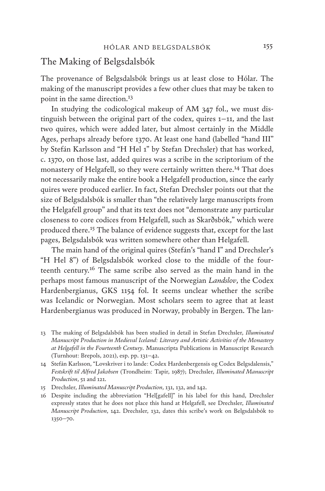### The Making of Belgsdalsbók

The provenance of Belgsdalsbók brings us at least close to Hólar. The making of the manuscript provides a few other clues that may be taken to point in the same direction.13

In studying the codicological makeup of AM 347 fol., we must distinguish between the original part of the codex, quires 1–11, and the last two quires, which were added later, but almost certainly in the Middle Ages, perhaps already before 1370. At least one hand (labelled "hand III" by Stefán Karlsson and "H Hel 1" by Stefan Drechsler) that has worked, c. 1370, on those last, added quires was a scribe in the scriptorium of the monastery of Helgafell, so they were certainly written there.14 That does not necessarily make the entire book a Helgafell production, since the early quires were produced earlier. In fact, Stefan Drechsler points out that the size of Belgsdalsbók is smaller than "the relatively large manuscripts from the Helgafell group" and that its text does not "demonstrate any particular closeness to core codices from Helgafell, such as Skarðsbók," which were produced there.15 The balance of evidence suggests that, except for the last pages, Belgsdalsbók was written somewhere other than Helgafell.

The main hand of the original quires (Stefán's "hand I" and Drechsler's "H Hel 8") of Belgsdalsbók worked close to the middle of the fourteenth century.16 The same scribe also served as the main hand in the perhaps most famous manuscript of the Norwegian *Landslov*, the Codex Hardenbergianus, GKS 1154 fol. It seems unclear whether the scribe was Icelandic or Norwegian. Most scholars seem to agree that at least Hardenbergianus was produced in Norway, probably in Bergen. The lan-

- 13 The making of Belgsdalsbók has been studied in detail in Stefan Drechsler, *Illuminated Manuscript Production in Medieval Iceland: Literary and Artistic Activities of the Monastery at Helgafell in the Fourteenth Century*. Manuscripta Publications in Manuscript Research (Turnhout: Brepols, 2021), esp. pp. 131–42.
- 14 Stefán Karlsson, "Lovskriver i to lande: Codex Hardenbergensis og Codex Belgsdalensis," *Festskrift til Alfred Jakobsen* (Trondheim: Tapir, 1987); Drechsler, *Illuminated Manuscript Production*, 51 and 121.
- 15 Drechsler, *Illuminated Manuscript Production*, 131, 132, and 142.
- 16 Despite including the abbreviation "Hel[gafell]" in his label for this hand, Drechsler expressly states that he does not place this hand at Helgafell, see Drechsler, *Illuminated Manuscript Production*, 142. Drechsler, 132, dates this scribe's work on Belgsdalsbók to 1350–70.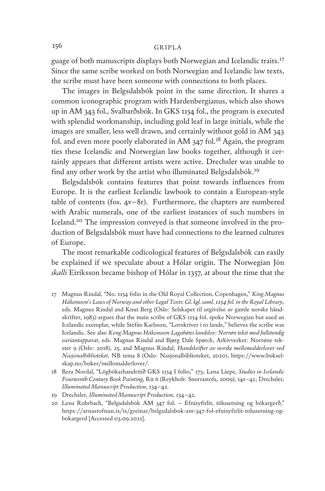guage of both manuscripts displays both Norwegian and Icelandic traits.<sup>17</sup> Since the same scribe worked on both Norwegian and Icelandic law texts, the scribe must have been someone with connections to both places.

The images in Belgsdalsbók point in the same direction. It shares a common iconographic program with Hardenbergianus, which also shows up in AM 343 fol., Svalbarðsbók. In GKS 1154 fol., the program is executed with splendid workmanship, including gold leaf in large initials, while the images are smaller, less well drawn, and certainly without gold in AM 343 fol. and even more poorly elaborated in AM 347 fol.18 Again, the program ties these Icelandic and Norwegian law books together, although it certainly appears that different artists were active. Drechsler was unable to find any other work by the artist who illuminated Belgsdalsbók.19

Belgsdalsbók contains features that point towards influences from Europe. It is the earliest Icelandic lawbook to contain a European-style table of contents (fos. 4v–8r). Furthermore, the chapters are numbered with Arabic numerals, one of the earliest instances of such numbers in Iceland.20 The impression conveyed is that someone involved in the production of Belgsdalsbók must have had connections to the learned cultures of Europe.

The most remarkable codicological features of Belgsdalsbók can easily be explained if we speculate about a Hólar origin. The Norwegian Jón *skalli* Eiríksson became bishop of Hólar in 1357, at about the time that the

- 17 Magnus Rindal, "No. 1154 folio in the Old Royal Collection, Copenhagen," *King Magnus Håkonsson's Laws of Norway and other Legal Texts: Gl. kgl. saml. 1154 fol. in the Royal Library*, eds. Magnus Rindal and Knut Berg (Oslo: Selskapet til utgivelse av gamle norske håndskrifter, 1983) argues that the main scribe of GKS 1154 fol. spoke Norwegian but used an Icelandic exemplar, while Stefán Karlsson, "Lovskriver i to lande," believes the scribe was Icelandic. See also *Kong Magnus Håkonsson Lagabøtes landslov: Norrøn tekst med fullstendig variantapparat*, eds. Magnus Rindal and Bjørg Dale Spørck, Arkivverket: Norrøne tekster 9 (Oslo: 2018), 25, and Magnus Rindal, *Handskrifter av norske mellomalderlover ved Nasjonalbiblioteket*, NB tema 8 (Oslo: Nasjonalbiblioteket, 2020), https://www.bokselskap.no/boker/mellomalderlover/.
- 18 Bera Nordal, "Lögbókarhandritið GKS 1154 I folio," 173; Lena Liepe, *Studies in Icelandic Fourteenth Century Book Painting*, Rit 6 (Reykholt: Snorrastofa, 2009), 141–42; Drechsler, *Illuminated Manuscript Production*, 134–42.
- 19 Drechsler, *Illuminated Manuscript Production*, 134–42.
- 20 Lena Rohrbach, "Belgsdalsbók AM 347 fol. Efnisyfirlit, tölusetning og bókargerð," https://arnastofnun.is/is/greinar/belgsdalsbok-am-347-fol-efnisyfirlit-tolusetning-ogbokargerd [Accessed 03.09.2021].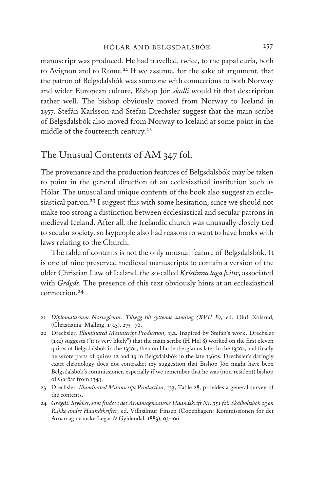manuscript was produced. He had travelled, twice, to the papal curia, both to Avignon and to Rome.21 If we assume, for the sake of argument, that the patron of Belgsdalsbók was someone with connections to both Norway and wider European culture, Bishop Jón *skalli* would fit that description rather well. The bishop obviously moved from Norway to Iceland in 1357. Stefán Karlsson and Stefan Drechsler suggest that the main scribe of Belgsdalsbók also moved from Norway to Iceland at some point in the middle of the fourteenth century.22

## The Unusual Contents of AM 347 fol.

The provenance and the production features of Belgsdalsbók may be taken to point in the general direction of an ecclesiastical institution such as Hólar. The unusual and unique contents of the book also suggest an ecclesiastical patron.<sup>23</sup> I suggest this with some hesitation, since we should not make too strong a distinction between ecclesiastical and secular patrons in medieval Iceland. After all, the Icelandic church was unusually closely tied to secular society, so laypeople also had reasons to want to have books with laws relating to the Church.

The table of contents is not the only unusual feature of Belgsdalsbók. It is one of nine preserved medieval manuscripts to contain a version of the older Christian Law of Iceland, the so-called *Kristinna laga þáttr*, associated with *Grágás*. The presence of this text obviously hints at an ecclesiastical connection.<sup>24</sup>

- 21 *Diplomatarium Norvegicum*. *Tillægg till syttende samling (XVII B)*, ed. Oluf Kolsrud, (Christiania: Malling, 1913), 275–76.
- 22 Drechsler, *Illuminated Manuscript Production*, 132. Inspired by Stefán's work, Drechsler (132) suggests ("it is very likely") that the main scribe (H Hel 8) worked on the first eleven quires of Belgsdalsbók in the 1350s, then on Hardenbergianus later in the 1350s, and finally he wrote parts of quires 12 and 13 in Belgsdalsbók in the late 1360s. Drechsler's daringly exact chronology does not contradict my suggestion that Bishop Jón might have been Belgsdalsbók's commissioner, especially if we remember that he was (non-resident) bishop of Garðar from 1343.
- 23 Drechsler, *Illuminated Manuscript Production*, 133, Table 28, provides a general survey of the contents.
- 24 *Grágás: Stykker, som findes i det Arnamagnæanske Haandskrift Nr. 351 fol. Skálholtsbók og en Række andre Haandskrifter*, ed. Vilhjálmur Finsen (Copenhagen: Kommissionen for det Arnamagnæanske Legat & Gyldendal, 1883), 93–96.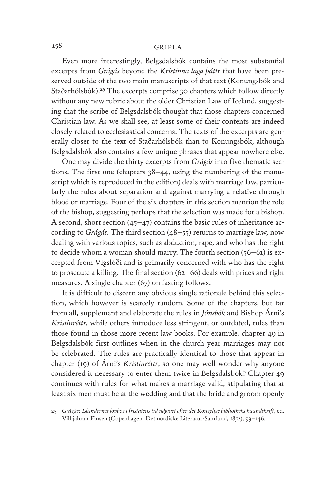Even more interestingly, Belgsdalsbók contains the most substantial excerpts from *Grágás* beyond the *Kristinna laga þáttr* that have been preserved outside of the two main manuscripts of that text (Konungsbók and Staðarhólsbók).<sup>25</sup> The excerpts comprise 30 chapters which follow directly without any new rubric about the older Christian Law of Iceland, suggesting that the scribe of Belgsdalsbók thought that those chapters concerned Christian law. As we shall see, at least some of their contents are indeed closely related to ecclesiastical concerns. The texts of the excerpts are generally closer to the text of Staðarhólsbók than to Konungsbók, although Belgsdalsbók also contains a few unique phrases that appear nowhere else.

One may divide the thirty excerpts from *Grágás* into five thematic sections. The first one (chapters 38–44, using the numbering of the manuscript which is reproduced in the edition) deals with marriage law, particularly the rules about separation and against marrying a relative through blood or marriage. Four of the six chapters in this section mention the role of the bishop, suggesting perhaps that the selection was made for a bishop. A second, short section (45–47) contains the basic rules of inheritance according to *Grágás*. The third section (48–55) returns to marriage law, now dealing with various topics, such as abduction, rape, and who has the right to decide whom a woman should marry. The fourth section (56–61) is excerpted from Vígslóði and is primarily concerned with who has the right to prosecute a killing. The final section (62–66) deals with prices and right measures. A single chapter (67) on fasting follows.

It is difficult to discern any obvious single rationale behind this selection, which however is scarcely random. Some of the chapters, but far from all, supplement and elaborate the rules in *Jónsbók* and Bishop Árni's *Kristinréttr*, while others introduce less stringent, or outdated, rules than those found in those more recent law books. For example, chapter 49 in Belgsdalsbók first outlines when in the church year marriages may not be celebrated. The rules are practically identical to those that appear in chapter (19) of Árni's *Kristinréttr*, so one may well wonder why anyone considered it necessary to enter them twice in Belgsdalsbók? Chapter 49 continues with rules for what makes a marriage valid, stipulating that at least six men must be at the wedding and that the bride and groom openly

25 *Grágás: Islændernes lovbog i fristatens tid udgivet efter det Kongelige bibliotheks haandskrift*, ed. Vilhjálmur Finsen (Copenhagen: Det nordiske Literatur-Samfund, 1852), 93–146.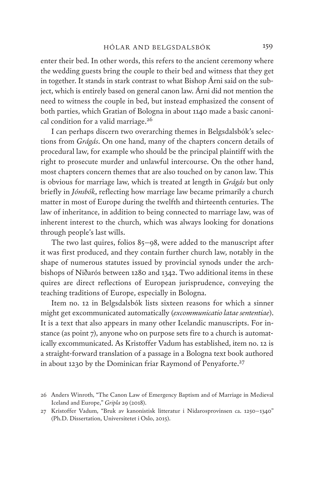enter their bed. In other words, this refers to the ancient ceremony where the wedding guests bring the couple to their bed and witness that they get in together. It stands in stark contrast to what Bishop Árni said on the subject, which is entirely based on general canon law. Árni did not mention the need to witness the couple in bed, but instead emphasized the consent of both parties, which Gratian of Bologna in about 1140 made a basic canonical condition for a valid marriage.26

I can perhaps discern two overarching themes in Belgsdalsbók's selections from *Grágás*. On one hand, many of the chapters concern details of procedural law, for example who should be the principal plaintiff with the right to prosecute murder and unlawful intercourse. On the other hand, most chapters concern themes that are also touched on by canon law. This is obvious for marriage law, which is treated at length in *Grágás* but only briefly in *Jónsbók*, reflecting how marriage law became primarily a church matter in most of Europe during the twelfth and thirteenth centuries. The law of inheritance, in addition to being connected to marriage law, was of inherent interest to the church, which was always looking for donations through people's last wills.

The two last quires, folios 85–98, were added to the manuscript after it was first produced, and they contain further church law, notably in the shape of numerous statutes issued by provincial synods under the archbishops of Niðarós between 1280 and 1342. Two additional items in these quires are direct reflections of European jurisprudence, conveying the teaching traditions of Europe, especially in Bologna.

Item no. 12 in Belgsdalsbók lists sixteen reasons for which a sinner might get excommunicated automatically (*excommunicatio latae sententiae*). It is a text that also appears in many other Icelandic manuscripts. For instance (as point 7), anyone who on purpose sets fire to a church is automatically excommunicated. As Kristoffer Vadum has established, item no. 12 is a straight-forward translation of a passage in a Bologna text book authored in about 1230 by the Dominican friar Raymond of Penyaforte.<sup>27</sup>

<sup>26</sup> Anders Winroth, "The Canon Law of Emergency Baptism and of Marriage in Medieval Iceland and Europe," *Gripla* 29 (2018).

<sup>27</sup> Kristoffer Vadum, "Bruk av kanonistisk litteratur i Nidarosprovinsen ca. 1250–1340" (Ph.D. Dissertation, Universitetet i Oslo, 2015).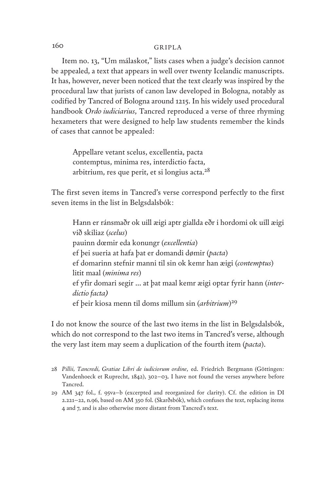Item no. 13, "Um málaskot," lists cases when a judge's decision cannot be appealed, a text that appears in well over twenty Icelandic manuscripts. It has, however, never been noticed that the text clearly was inspired by the procedural law that jurists of canon law developed in Bologna, notably as codified by Tancred of Bologna around 1215. In his widely used procedural handbook *Ordo iudiciarius*, Tancred reproduced a verse of three rhyming hexameters that were designed to help law students remember the kinds of cases that cannot be appealed:

Appellare vetant scelus, excellentia, pacta contemptus, minima res, interdictio facta, arbitrium, res que perit, et si longius acta.28

The first seven items in Tancred's verse correspond perfectly to the first seven items in the list in Belgsdalsbók:

Hann er ránsmaðr ok uill æigi aptr giallda eðr i hordomi ok uill æigi við skiliaz (*scelus*) pauinn dœmir eda konungr (*excellentia*) ef þei sueria at hafa þat er domandi dømir (*pacta*) ef domarinn stefnir manni til sin ok kemr han æigi (*contemptus*) litit maal (*minima res*) ef yfir domari segir ... at þat maal kemr æigi optar fyrir hann (*interdictio facta)* ef þeir kiosa menn til doms millum sin (*arbitrium*) 29

I do not know the source of the last two items in the list in Belgsdalsbók, which do not correspond to the last two items in Tancred's verse, although the very last item may seem a duplication of the fourth item (*pacta*).

<sup>28</sup> *Pillii, Tancredi, Gratiae Libri de iudiciorum ordine*, ed. Friedrich Bergmann (Göttingen: Vandenhoeck et Ruprecht, 1842), 302–03. I have not found the verses anywhere before Tancred.

<sup>29</sup> AM 347 fol., f. 95va–b (excerpted and reorganized for clarity). Cf. the edition in DI 2.221–22, n.96, based on AM 350 fol. (Skarðsbók), which confuses the text, replacing items 4 and 7, and is also otherwise more distant from Tancred's text.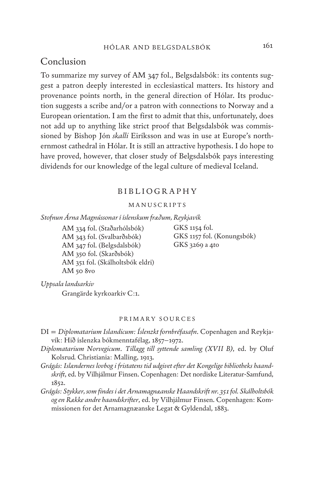## Conclusion

To summarize my survey of AM 347 fol., Belgsdalsbók: its contents suggest a patron deeply interested in ecclesiastical matters. Its history and provenance points north, in the general direction of Hólar. Its production suggests a scribe and/or a patron with connections to Norway and a European orientation. I am the first to admit that this, unfortunately, does not add up to anything like strict proof that Belgsdalsbók was commissioned by Bishop Jón *skalli* Eiríksson and was in use at Europe's northernmost cathedral in Hólar. It is still an attractive hypothesis. I do hope to have proved, however, that closer study of Belgsdalsbók pays interesting dividends for our knowledge of the legal culture of medieval Iceland.

#### BIBLIOGRAPHY

#### MANUSCRIPTS

*Stofnun Árna Magnússonar í íslenskum fræðum, Reykjavík*

AM 334 fol. (Staðarhólsbók) AM 343 fol. (Svalbarðsbók) AM 347 fol. (Belgsdalsbók) AM 350 fol. (Skarðsbók) AM 351 fol. (Skálholtsbók eldri) AM 50 8vo

GKS 1154 fol. GKS 1157 fol. (Konungsbók) GKS 3269 a 4to

*Uppsala landsarkiv*

Grangärde kyrkoarkiv C:1.

#### PRIMARY SOURCES

- DI = *Diplomatarium Islandicum: Íslenzkt fornbréfasafn*. Copenhagen and Reykjavík: Hið íslenzka bókmenntafélag, 1857–1972.
- *Diplomatarium Norvegicum*. *Tillægg till syttende samling (XVII B)*, ed. by Oluf Kolsrud*.* Christiania: Malling, 1913.
- *Grágás: Islændernes lovbog i fristatens tid udgivet efter det Kongelige bibliotheks haandskrift*, ed. by Vilhjálmur Finsen. Copenhagen: Det nordiske Literatur-Samfund, 1852.
- *Grágás: Stykker, som findes i det Arnamagnæanske Haandskrift nr. 351 fol. Skálholtsbók og en Række andre haandskrifter*, ed. by Vilhjálmur Finsen. Copenhagen: Kommissionen for det Arnamagnæanske Legat & Gyldendal, 1883.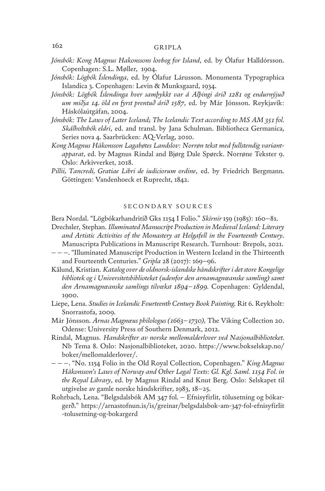- *Jónsbók: Kong Magnus Hakonssons lovbog for Island*, ed. by Ólafur Halldórsson. Copenhagen: S.L. Møller, 1904.
- *Jónsbók: Lögbók Íslendinga*, ed. by Ólafur Lárusson. Monumenta Typographica Islandica 3. Copenhagen: Levin & Munksgaard, 1934.
- *Jónsbók: Lögbók Íslendinga hver samþykkt var á Alþingi árið 1281 og endurnýjuð um miðja 14. öld en fyrst prentuð árið 1587*, ed. by Már Jónsson. Reykjavík: Háskólaútgáfan, 2004.
- *Jónsbók: The Laws of Later Iceland; The Icelandic Text according to MS AM 351 fol. Skálholtsbók eldri*, ed. and transl. by Jana Schulman. Bibliotheca Germanica, Series nova 4. Saarbrücken: AQ-Verlag, 2010.
- *Kong Magnus Håkonsson Lagabøtes Landslov: Norrøn tekst med fullstendig variantapparat*, ed. by Magnus Rindal and Bjørg Dale Spørck. Norrøne Tekster 9. Oslo: Arkivverket, 2018.
- *Pillii, Tancredi, Gratiae Libri de iudiciorum ordine*, ed. by Friedrich Bergmann. Göttingen: Vandenhoeck et Ruprecht, 1842.

#### SECONDARY SOURCES

Bera Nordal. "Lögbókarhandritið Gks 1154 I Folio." *Skírnir* 159 (1985): 160–81.

- Drechsler, Stephan. *Illuminated Manuscript Production in Medieval Iceland: Literary and Artistic Activities of the Monastery at Helgafell in the Fourteenth Century*. Manuscripta Publications in Manuscript Research. Turnhout: Brepols, 2021.
- – –. "Illuminated Manuscript Production in Western Iceland in the Thirteenth and Fourteenth Centuries." *Gripla* 28 (2017): 169–96.
- Kålund, Kristian. *Katalog over de oldnorsk-islandske håndskrifter i det store Kongelige bibliotek og i Universitetsbiblioteket (udenfor den arnamagnœanske samling) samt den Arnamagnœanske samlings tilvœkst 1894–1899.* Copenhagen: Gyldendal, 1900.
- Liepe, Lena. *Studies in Icelandic Fourteenth Century Book Painting.* Rit 6. Reykholt: Snorrastofa, 2009.
- Már Jónsson. *Arnas Magnœus philologus (1663–1730),* The Viking Collection 20. Odense: University Press of Southern Denmark, 2012.
- Rindal, Magnus. *Handskrifter av norske mellomalderlover ved Nasjonalbiblioteket.* Nb Tema 8. Oslo: Nasjonalbiblioteket, 2020. https://www.bokselskap.no/ boker/mellomalderlover/.
- – –. "No. 1154 Folio in the Old Royal Collection, Copenhagen." *King Magnus Håkonsson's Laws of Norway and Other Legal Texts: Gl. Kgl. Saml. 1154 Fol. in the Royal Library*, ed. by Magnus Rindal and Knut Berg. Oslo: Selskapet til utgivelse av gamle norske håndskrifter, 1983, 18–25.
- Rohrbach, Lena. "Belgsdalsbók AM 347 fol. Efnisyfirlit, tölusetning og bókargerð." https://arnastofnun.is/is/greinar/belgsdalsbok-am-347-fol-efnisyfirlit -tolusetning-og-bokargerd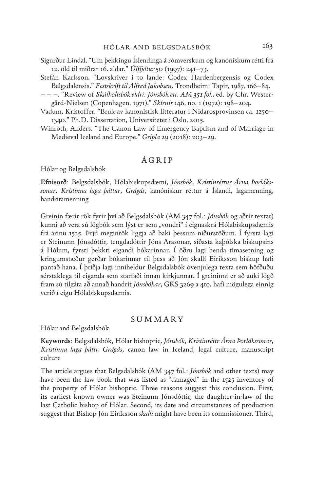- Sigurður Líndal. "Um þekkingu Íslendinga á rómverskum og kanónískum rétti frá 12. öld til miðrar 16. aldar." *Úlfljótur* 50 (1997): 241–73.
- Stefán Karlsson. "Lovskriver i to lande: Codex Hardenbergensis og Codex Belgsdalensis." *Festskrift til Alfred Jakobsen*. Trondheim: Tapir, 1987, 166–84.
- – –. "Review of *Skálholtsbók eldri: Jónsbók etc. AM 351 fol.,* ed. by Chr. Westergård-Nielsen (Copenhagen, 1971)." *Skírnir* 146, no. 1 (1972): 198–204.
- Vadum, Kristoffer. "Bruk av kanonistisk litteratur i Nidarosprovinsen ca. 1250– 1340." Ph.D. Dissertation, Universitetet i Oslo, 2015.
- Winroth, Anders. "The Canon Law of Emergency Baptism and of Marriage in Medieval Iceland and Europe." *Gripla* 29 (2018): 203–29.

#### ÁGRIP

Hólar og Belgsdalsbók

**Efnisorð**: Belgsdalsbók, Hólabiskupsdæmi, *Jónsbók*, *Kristinréttur Árna Þorlákssonar*, *Kristinna laga þáttur*, *Grágás*, kanónískur réttur á Íslandi, lagamenning, handritamenning

Greinin færir rök fyrir því að Belgsdalsbók (AM 347 fol.: *Jónsbók* og aðrir textar) kunni að vera sú lögbók sem lýst er sem "vondri" í eignaskrá Hólabiskupsdæmis frá árinu 1525. Þrjú meginrök liggja að baki þessum niðurstöðum. Í fyrsta lagi er Steinunn Jónsdóttir, tengdadóttir Jóns Arasonar, síðasta kaþólska biskupsins á Hólum, fyrsti þekkti eigandi bókarinnar. Í öðru lagi benda tímasetning og kringumstæður gerðar bókarinnar til þess að Jón skalli Eiríksson biskup hafi pantað hana. Í þriðja lagi inniheldur Belgsdalsbók óvenjulega texta sem höfðuðu sérstaklega til eiganda sem starfaði innan kirkjunnar. Í greininni er að auki lögð fram sú tilgáta að annað handrit *Jónsbókar*, GKS 3269 a 4to, hafi mögulega einnig verið í eigu Hólabiskupsdæmis.

#### **SUMMARY**

Hólar and Belgsdalsbók

**Keywords**: Belgsdalsbók, Hólar bishopric, *Jónsbók*, *Kristinréttr Árna Þorlákssonar*, *Kristinna laga þáttr, Grágás*, canon law in Iceland, legal culture, manuscript culture

The article argues that Belgsdalsbók (AM 347 fol.: *Jónsbók* and other texts) may have been the law book that was listed as "damaged" in the 1525 inventory of the property of Hólar bishopric. Three reasons suggest this conclusion. First, its earliest known owner was Steinunn Jónsdóttir, the daughter-in-law of the last Catholic bishop of Hólar. Second, its date and circumstances of production suggest that Bishop Jón Eiríksson *skalli* might have been its commissioner. Third,